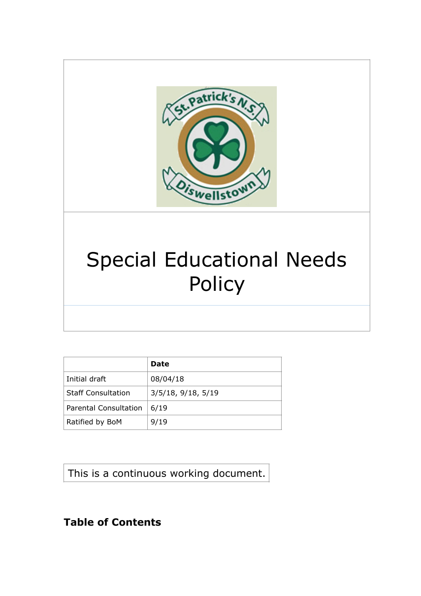

# Special Educational Needs Policy

|                              | Date                  |
|------------------------------|-----------------------|
| Initial draft                | 08/04/18              |
| <b>Staff Consultation</b>    | $3/5/18$ , 9/18, 5/19 |
| <b>Parental Consultation</b> | 6/19                  |
| Ratified by BoM              | 9/19                  |

This is a continuous working document.

# **Table of Contents**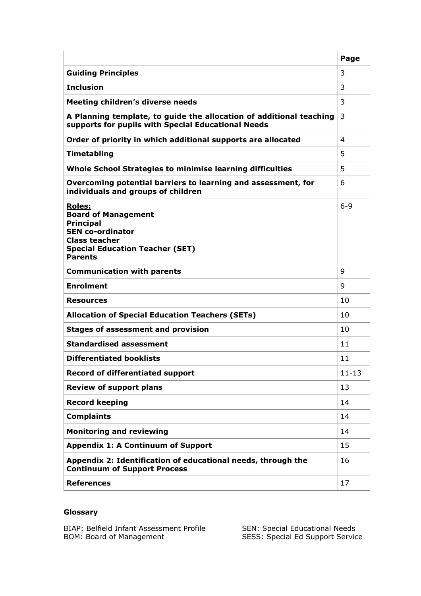|                                                                                                                                                                                | Page      |
|--------------------------------------------------------------------------------------------------------------------------------------------------------------------------------|-----------|
| <b>Guiding Principles</b>                                                                                                                                                      | 3         |
| <b>Inclusion</b>                                                                                                                                                               | 3         |
| <b>Meeting children's diverse needs</b>                                                                                                                                        | 3         |
| A Planning template, to guide the allocation of additional teaching<br>supports for pupils with Special Educational Needs                                                      | 3         |
| Order of priority in which additional supports are allocated                                                                                                                   | 4         |
| Timetabling                                                                                                                                                                    | 5         |
| Whole School Strategies to minimise learning difficulties                                                                                                                      | 5.        |
| Overcoming potential barriers to learning and assessment, for<br>individuals and groups of children                                                                            | 6         |
| <b>Roles:</b><br><b>Board of Management</b><br><b>Principal</b><br><b>SEN co-ordinator</b><br><b>Class teacher</b><br><b>Special Education Teacher (SET)</b><br><b>Parents</b> | $6 - 9$   |
| <b>Communication with parents</b>                                                                                                                                              | 9         |
| <b>Enrolment</b>                                                                                                                                                               | 9         |
| <b>Resources</b>                                                                                                                                                               | 10        |
| <b>Allocation of Special Education Teachers (SETs)</b>                                                                                                                         | 10        |
| <b>Stages of assessment and provision</b>                                                                                                                                      | 10        |
| <b>Standardised assessment</b>                                                                                                                                                 | 11        |
| <b>Differentiated booklists</b>                                                                                                                                                | 11        |
| <b>Record of differentiated support</b>                                                                                                                                        | $11 - 13$ |
| <b>Review of support plans</b>                                                                                                                                                 | 13        |
| <b>Record keeping</b>                                                                                                                                                          | 14        |
| <b>Complaints</b>                                                                                                                                                              | 14        |
| <b>Monitoring and reviewing</b>                                                                                                                                                | 14        |
| <b>Appendix 1: A Continuum of Support</b>                                                                                                                                      | 15        |
| Appendix 2: Identification of educational needs, through the<br><b>Continuum of Support Process</b>                                                                            | 16        |
| <b>References</b>                                                                                                                                                              | 17        |

# **Glossary**

BIAP: Belfield Infant Assessment Profile SEN: Special Educational Needs BOM: Board of Management SESS: Special Ed Support Service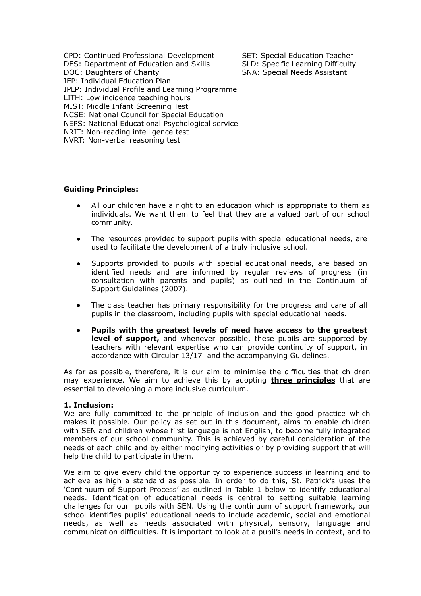CPD: Continued Professional Development SET: Special Education Teacher DES: Department of Education and Skills SLD: Specific Learning Difficulty DOC: Daughters of Charity SNA: Special Needs Assistant IEP: Individual Education Plan IPLP: Individual Profile and Learning Programme LITH: Low incidence teaching hours MIST: Middle Infant Screening Test NCSE: National Council for Special Education NEPS: National Educational Psychological service NRIT: Non-reading intelligence test NVRT: Non-verbal reasoning test

# **Guiding Principles:**

- ! All our children have a right to an education which is appropriate to them as individuals. We want them to feel that they are a valued part of our school community.
- The resources provided to support pupils with special educational needs, are used to facilitate the development of a truly inclusive school.
- Supports provided to pupils with special educational needs, are based on identified needs and are informed by regular reviews of progress (in consultation with parents and pupils) as outlined in the Continuum of Support Guidelines (2007).
- The class teacher has primary responsibility for the progress and care of all pupils in the classroom, including pupils with special educational needs.
- ! **Pupils with the greatest levels of need have access to the greatest level of support,** and whenever possible, these pupils are supported by teachers with relevant expertise who can provide continuity of support, in accordance with Circular 13/17 and the accompanying Guidelines.

As far as possible, therefore, it is our aim to minimise the difficulties that children may experience. We aim to achieve this by adopting **three principles** that are essential to developing a more inclusive curriculum.

#### **1. Inclusion:**

We are fully committed to the principle of inclusion and the good practice which makes it possible. Our policy as set out in this document, aims to enable children with SEN and children whose first language is not English, to become fully integrated members of our school community. This is achieved by careful consideration of the needs of each child and by either modifying activities or by providing support that will help the child to participate in them.

We aim to give every child the opportunity to experience success in learning and to achieve as high a standard as possible. In order to do this, St. Patrick's uses the 'Continuum of Support Process' as outlined in Table 1 below to identify educational needs. Identification of educational needs is central to setting suitable learning challenges for our pupils with SEN. Using the continuum of support framework, our school identifies pupils' educational needs to include academic, social and emotional needs, as well as needs associated with physical, sensory, language and communication difficulties. It is important to look at a pupil's needs in context, and to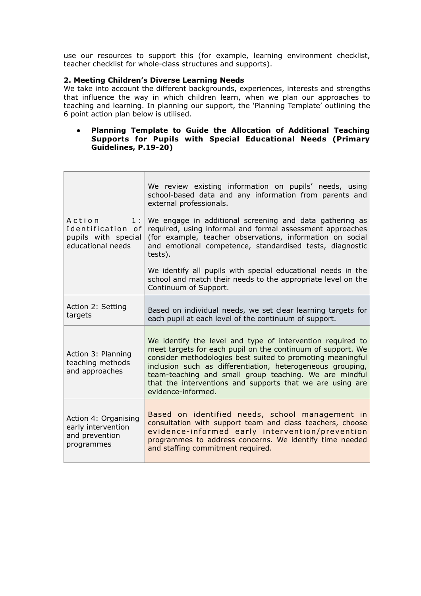use our resources to support this (for example, learning environment checklist, teacher checklist for whole-class structures and supports).

# **2. Meeting Children's Diverse Learning Needs**

We take into account the different backgrounds, experiences, interests and strengths that influence the way in which children learn, when we plan our approaches to teaching and learning. In planning our support, the 'Planning Template' outlining the 6 point action plan below is utilised.

# ! **Planning Template to Guide the Allocation of Additional Teaching Supports for Pupils with Special Educational Needs (Primary Guidelines, P.19-20)**

|                                                                               | We review existing information on pupils' needs, using<br>school-based data and any information from parents and<br>external professionals.                                                                                                                                                                                                                                                        |
|-------------------------------------------------------------------------------|----------------------------------------------------------------------------------------------------------------------------------------------------------------------------------------------------------------------------------------------------------------------------------------------------------------------------------------------------------------------------------------------------|
| Action<br>1:<br>Identification of<br>pupils with special<br>educational needs | We engage in additional screening and data gathering as<br>required, using informal and formal assessment approaches<br>(for example, teacher observations, information on social<br>and emotional competence, standardised tests, diagnostic<br>tests).                                                                                                                                           |
|                                                                               | We identify all pupils with special educational needs in the<br>school and match their needs to the appropriate level on the<br>Continuum of Support.                                                                                                                                                                                                                                              |
| Action 2: Setting<br>targets                                                  | Based on individual needs, we set clear learning targets for<br>each pupil at each level of the continuum of support.                                                                                                                                                                                                                                                                              |
| Action 3: Planning<br>teaching methods<br>and approaches                      | We identify the level and type of intervention required to<br>meet targets for each pupil on the continuum of support. We<br>consider methodologies best suited to promoting meaningful<br>inclusion such as differentiation, heterogeneous grouping,<br>team-teaching and small group teaching. We are mindful<br>that the interventions and supports that we are using are<br>evidence-informed. |
| Action 4: Organising<br>early intervention<br>and prevention<br>programmes    | Based on identified needs, school management in<br>consultation with support team and class teachers, choose<br>evidence-informed early intervention/prevention<br>programmes to address concerns. We identify time needed<br>and staffing commitment required.                                                                                                                                    |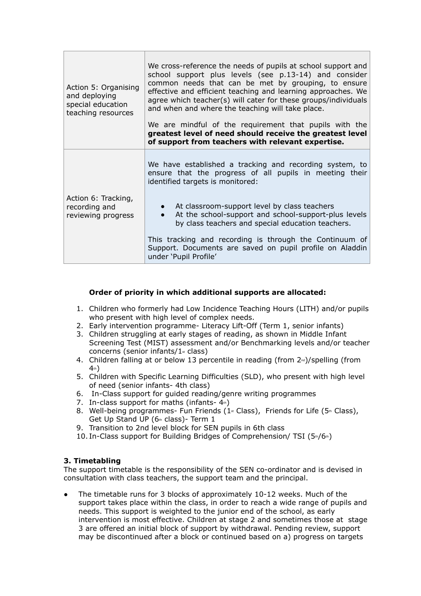| Action 5: Organising<br>and deploying<br>special education<br>teaching resources | We cross-reference the needs of pupils at school support and<br>school support plus levels (see p.13-14) and consider<br>common needs that can be met by grouping, to ensure<br>effective and efficient teaching and learning approaches. We<br>agree which teacher(s) will cater for these groups/individuals<br>and when and where the teaching will take place.<br>We are mindful of the requirement that pupils with the<br>greatest level of need should receive the greatest level<br>of support from teachers with relevant expertise. |
|----------------------------------------------------------------------------------|-----------------------------------------------------------------------------------------------------------------------------------------------------------------------------------------------------------------------------------------------------------------------------------------------------------------------------------------------------------------------------------------------------------------------------------------------------------------------------------------------------------------------------------------------|
| Action 6: Tracking,<br>recording and<br>reviewing progress                       | We have established a tracking and recording system, to<br>ensure that the progress of all pupils in meeting their<br>identified targets is monitored:<br>At classroom-support level by class teachers<br>$\bullet$<br>At the school-support and school-support-plus levels<br>by class teachers and special education teachers.<br>This tracking and recording is through the Continuum of<br>Support. Documents are saved on pupil profile on Aladdin<br>under 'Pupil Profile'                                                              |

# **Order of priority in which additional supports are allocated:**

- 1. Children who formerly had Low Incidence Teaching Hours (LITH) and/or pupils who present with high level of complex needs.
- 2. Early intervention programme- Literacy Lift-Off (Term 1, senior infants)
- 3. Children struggling at early stages of reading, as shown in Middle Infant Screening Test (MIST) assessment and/or Benchmarking levels and/or teacher concerns (senior infants/ $1<sup>st</sup>$  class)
- 4. Children falling at or below 13 percentile in reading (from  $2<sup>nd</sup>$ )/spelling (from  $4<sub>th</sub>$
- 5. Children with Specific Learning Difficulties (SLD), who present with high level of need (senior infants- 4th class)
- 6. In-Class support for guided reading/genre writing programmes
- 7. In-class support for maths (infants- $4<sub>th</sub>$ )
- 8. Well-being programmes- Fun Friends ( $1<sup>st</sup>$  Class), Friends for Life ( $5<sup>th</sup>$  Class), Get Up Stand UP ( $6<sub>th</sub>$  class)- Term 1
- 9. Transition to 2nd level block for SEN pupils in 6th class
- 10. In-Class support for Building Bridges of Comprehension/ TSI (5th/6th)

# **3. Timetabling**

The support timetable is the responsibility of the SEN co-ordinator and is devised in consultation with class teachers, the support team and the principal.

! The timetable runs for 3 blocks of approximately 10-12 weeks. Much of the support takes place within the class, in order to reach a wide range of pupils and needs. This support is weighted to the junior end of the school, as early intervention is most effective. Children at stage 2 and sometimes those at stage 3 are offered an initial block of support by withdrawal. Pending review, support may be discontinued after a block or continued based on a) progress on targets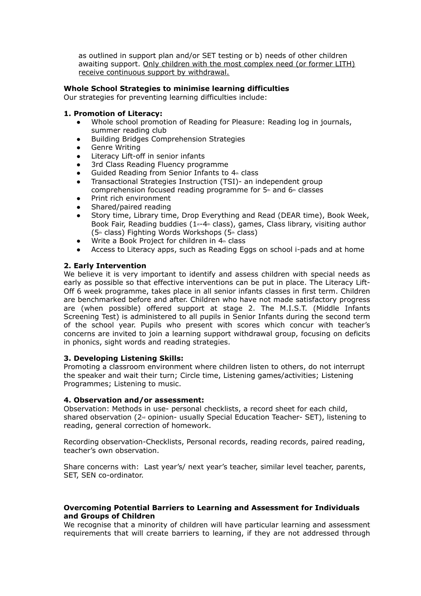as outlined in support plan and/or SET testing or b) needs of other children awaiting support. Only children with the most complex need (or former LITH) receive continuous support by withdrawal.

# **Whole School Strategies to minimise learning difficulties**

Our strategies for preventing learning difficulties include:

# **1. Promotion of Literacy:**

- ! Whole school promotion of Reading for Pleasure: Reading log in journals, summer reading club
- ! Building Bridges Comprehension Strategies
- **.** Genre Writing
- Literacy Lift-off in senior infants
- ! 3rd Class Reading Fluency programme
- Guided Reading from Senior Infants to  $4<sup>th</sup>$  class
- ! Transactional Strategies Instruction (TSI)- an independent group comprehension focused reading programme for  $5<sub>th</sub>$  and  $6<sub>th</sub>$  classes
- Print rich environment
- Shared/paired reading
- Story time, Library time, Drop Everything and Read (DEAR time), Book Week, Book Fair, Reading buddies ( $1<sup>s</sup>$ -4<sup>th</sup> class), games, Class library, visiting author  $(5<sup>th</sup>$  class) Fighting Words Workshops ( $5<sup>th</sup>$  class)
- Write a Book Project for children in  $4<sup>th</sup>$  class
- ! Access to Literacy apps, such as Reading Eggs on school i-pads and at home

# **2. Early Intervention**

We believe it is very important to identify and assess children with special needs as early as possible so that effective interventions can be put in place. The Literacy Lift-Off 6 week programme, takes place in all senior infants classes in first term. Children are benchmarked before and after. Children who have not made satisfactory progress are (when possible) offered support at stage 2. The M.I.S.T. (Middle Infants Screening Test) is administered to all pupils in Senior Infants during the second term of the school year. Pupils who present with scores which concur with teacher's concerns are invited to join a learning support withdrawal group, focusing on deficits in phonics, sight words and reading strategies.

# **3. Developing Listening Skills:**

Promoting a classroom environment where children listen to others, do not interrupt the speaker and wait their turn; Circle time, Listening games/activities; Listening Programmes; Listening to music.

# **4. Observation and/or assessment:**

Observation: Methods in use- personal checklists, a record sheet for each child, shared observation ( $2<sub>nd</sub>$  opinion- usually Special Education Teacher- SET), listening to reading, general correction of homework.

Recording observation-Checklists, Personal records, reading records, paired reading, teacher's own observation.

Share concerns with: Last year's/ next year's teacher, similar level teacher, parents, SET, SEN co-ordinator.

# **Overcoming Potential Barriers to Learning and Assessment for Individuals and Groups of Children**

We recognise that a minority of children will have particular learning and assessment requirements that will create barriers to learning, if they are not addressed through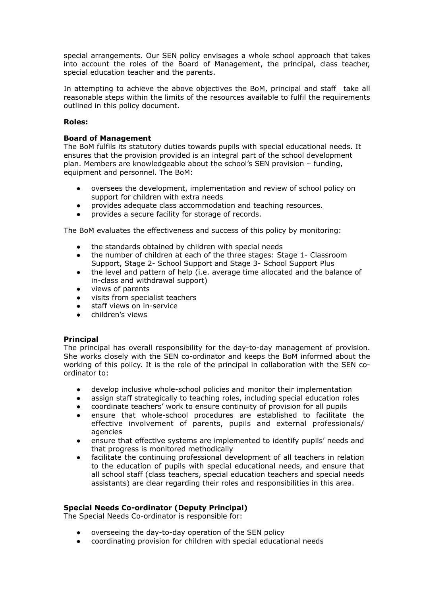special arrangements. Our SEN policy envisages a whole school approach that takes into account the roles of the Board of Management, the principal, class teacher, special education teacher and the parents.

In attempting to achieve the above objectives the BoM, principal and staff take all reasonable steps within the limits of the resources available to fulfil the requirements outlined in this policy document.

# **Roles:**

# **Board of Management**

The BoM fulfils its statutory duties towards pupils with special educational needs. It ensures that the provision provided is an integral part of the school development plan. Members are knowledgeable about the school's SEN provision – funding, equipment and personnel. The BoM:

- ! oversees the development, implementation and review of school policy on support for children with extra needs
- ! provides adequate class accommodation and teaching resources.
- provides a secure facility for storage of records.

The BoM evaluates the effectiveness and success of this policy by monitoring:

- ! the standards obtained by children with special needs
- the number of children at each of the three stages: Stage 1- Classroom Support, Stage 2- School Support and Stage 3- School Support Plus
- ! the level and pattern of help (i.e. average time allocated and the balance of in-class and withdrawal support)
- views of parents
- visits from specialist teachers
- staff views on in-service
- children's views

# **Principal**

The principal has overall responsibility for the day-to-day management of provision. She works closely with the SEN co-ordinator and keeps the BoM informed about the working of this policy. It is the role of the principal in collaboration with the SEN coordinator to:

- ! develop inclusive whole-school policies and monitor their implementation
- assign staff strategically to teaching roles, including special education roles
- coordinate teachers' work to ensure continuity of provision for all pupils
- ! ensure that whole-school procedures are established to facilitate the effective involvement of parents, pupils and external professionals/ agencies
- ! ensure that effective systems are implemented to identify pupils' needs and that progress is monitored methodically
- facilitate the continuing professional development of all teachers in relation to the education of pupils with special educational needs, and ensure that all school staff (class teachers, special education teachers and special needs assistants) are clear regarding their roles and responsibilities in this area.

# **Special Needs Co-ordinator (Deputy Principal)**

The Special Needs Co-ordinator is responsible for:

- ! overseeing the day-to-day operation of the SEN policy
- coordinating provision for children with special educational needs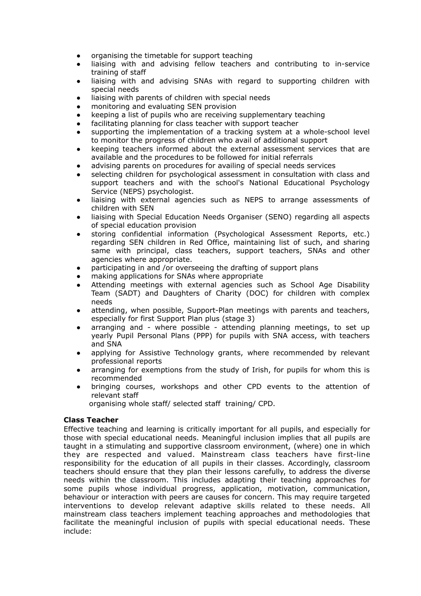- ! organising the timetable for support teaching
- liaising with and advising fellow teachers and contributing to in-service training of staff
- liaising with and advising SNAs with regard to supporting children with special needs
- liaising with parents of children with special needs
- monitoring and evaluating SEN provision
- keeping a list of pupils who are receiving supplementary teaching
- facilitating planning for class teacher with support teacher
- supporting the implementation of a tracking system at a whole-school level to monitor the progress of children who avail of additional support
- keeping teachers informed about the external assessment services that are available and the procedures to be followed for initial referrals
- advising parents on procedures for availing of special needs services
- selecting children for psychological assessment in consultation with class and support teachers and with the school's National Educational Psychology Service (NEPS) psychologist.
- liaising with external agencies such as NEPS to arrange assessments of children with SEN
- liaising with Special Education Needs Organiser (SENO) regarding all aspects of special education provision
- ! storing confidential information (Psychological Assessment Reports, etc.) regarding SEN children in Red Office, maintaining list of such, and sharing same with principal, class teachers, support teachers, SNAs and other agencies where appropriate.
- participating in and /or overseeing the drafting of support plans
- making applications for SNAs where appropriate
- ! Attending meetings with external agencies such as School Age Disability Team (SADT) and Daughters of Charity (DOC) for children with complex needs
- attending, when possible, Support-Plan meetings with parents and teachers, especially for first Support Plan plus (stage 3)
- ! arranging and where possible attending planning meetings, to set up yearly Pupil Personal Plans (PPP) for pupils with SNA access, with teachers and SNA
- applying for Assistive Technology grants, where recommended by relevant professional reports
- arranging for exemptions from the study of Irish, for pupils for whom this is recommended
- ! bringing courses, workshops and other CPD events to the attention of relevant staff

organising whole staff/ selected staff training/ CPD.

# **Class Teacher**

Effective teaching and learning is critically important for all pupils, and especially for those with special educational needs. Meaningful inclusion implies that all pupils are taught in a stimulating and supportive classroom environment, (where) one in which they are respected and valued. Mainstream class teachers have first-line responsibility for the education of all pupils in their classes. Accordingly, classroom teachers should ensure that they plan their lessons carefully, to address the diverse needs within the classroom. This includes adapting their teaching approaches for some pupils whose individual progress, application, motivation, communication, behaviour or interaction with peers are causes for concern. This may require targeted interventions to develop relevant adaptive skills related to these needs. All mainstream class teachers implement teaching approaches and methodologies that facilitate the meaningful inclusion of pupils with special educational needs. These include: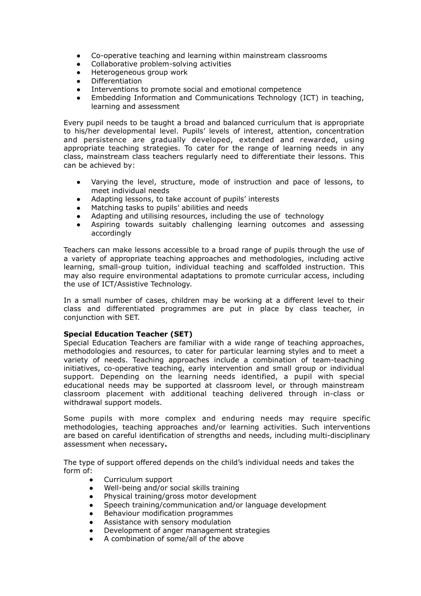- ! Co-operative teaching and learning within mainstream classrooms
- Collaborative problem-solving activities
- Heterogeneous group work
- Differentiation
- Interventions to promote social and emotional competence
- ! Embedding Information and Communications Technology (ICT) in teaching, learning and assessment

Every pupil needs to be taught a broad and balanced curriculum that is appropriate to his/her developmental level. Pupils' levels of interest, attention, concentration and persistence are gradually developed, extended and rewarded, using appropriate teaching strategies. To cater for the range of learning needs in any class, mainstream class teachers regularly need to differentiate their lessons. This can be achieved by:

- Varying the level, structure, mode of instruction and pace of lessons, to meet individual needs
- Adapting lessons, to take account of pupils' interests
- Matching tasks to pupils' abilities and needs
- Adapting and utilising resources, including the use of technology
- ! Aspiring towards suitably challenging learning outcomes and assessing accordingly

Teachers can make lessons accessible to a broad range of pupils through the use of a variety of appropriate teaching approaches and methodologies, including active learning, small-group tuition, individual teaching and scaffolded instruction. This may also require environmental adaptations to promote curricular access, including the use of ICT/Assistive Technology.

In a small number of cases, children may be working at a different level to their class and differentiated programmes are put in place by class teacher, in conjunction with SET.

# **Special Education Teacher (SET)**

Special Education Teachers are familiar with a wide range of teaching approaches, methodologies and resources, to cater for particular learning styles and to meet a variety of needs. Teaching approaches include a combination of team-teaching initiatives, co-operative teaching, early intervention and small group or individual support. Depending on the learning needs identified, a pupil with special educational needs may be supported at classroom level, or through mainstream classroom placement with additional teaching delivered through in-class or withdrawal support models.

Some pupils with more complex and enduring needs may require specific methodologies, teaching approaches and/or learning activities. Such interventions are based on careful identification of strengths and needs, including multi-disciplinary assessment when necessary**.** 

The type of support offered depends on the child's individual needs and takes the form of:

- Curriculum support
- . Well-being and/or social skills training
- ! Physical training/gross motor development
- Speech training/communication and/or language development
- **.** Behaviour modification programmes
- Assistance with sensory modulation
- Development of anger management strategies
- ! A combination of some/all of the above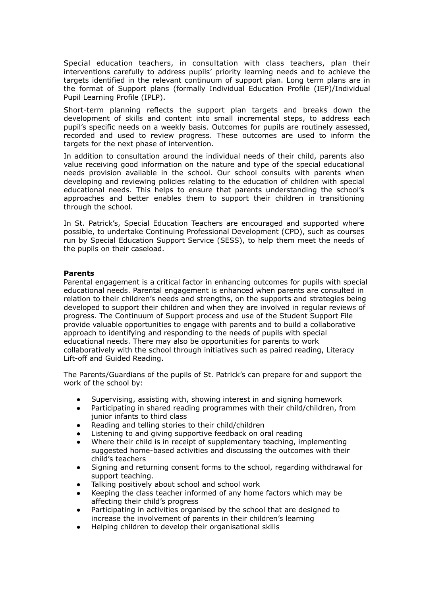Special education teachers, in consultation with class teachers, plan their interventions carefully to address pupils' priority learning needs and to achieve the targets identified in the relevant continuum of support plan. Long term plans are in the format of Support plans (formally Individual Education Profile (IEP)/Individual Pupil Learning Profile (IPLP).

Short-term planning reflects the support plan targets and breaks down the development of skills and content into small incremental steps, to address each pupil's specific needs on a weekly basis. Outcomes for pupils are routinely assessed, recorded and used to review progress. These outcomes are used to inform the targets for the next phase of intervention.

In addition to consultation around the individual needs of their child, parents also value receiving good information on the nature and type of the special educational needs provision available in the school. Our school consults with parents when developing and reviewing policies relating to the education of children with special educational needs. This helps to ensure that parents understanding the school's approaches and better enables them to support their children in transitioning through the school.

In St. Patrick's, Special Education Teachers are encouraged and supported where possible, to undertake Continuing Professional Development (CPD), such as courses run by Special Education Support Service (SESS), to help them meet the needs of the pupils on their caseload.

# **Parents**

Parental engagement is a critical factor in enhancing outcomes for pupils with special educational needs. Parental engagement is enhanced when parents are consulted in relation to their children's needs and strengths, on the supports and strategies being developed to support their children and when they are involved in regular reviews of progress. The Continuum of Support process and use of the Student Support File provide valuable opportunities to engage with parents and to build a collaborative approach to identifying and responding to the needs of pupils with special educational needs. There may also be opportunities for parents to work collaboratively with the school through initiatives such as paired reading, Literacy Lift-off and Guided Reading.

The Parents/Guardians of the pupils of St. Patrick's can prepare for and support the work of the school by:

- Supervising, assisting with, showing interest in and signing homework
- ! Participating in shared reading programmes with their child/children, from junior infants to third class
- Reading and telling stories to their child/children
- Listening to and giving supportive feedback on oral reading
- ! Where their child is in receipt of supplementary teaching, implementing suggested home-based activities and discussing the outcomes with their child's teachers
- Signing and returning consent forms to the school, regarding withdrawal for support teaching.
- Talking positively about school and school work
- Keeping the class teacher informed of any home factors which may be affecting their child's progress
- Participating in activities organised by the school that are designed to increase the involvement of parents in their children's learning
- ! Helping children to develop their organisational skills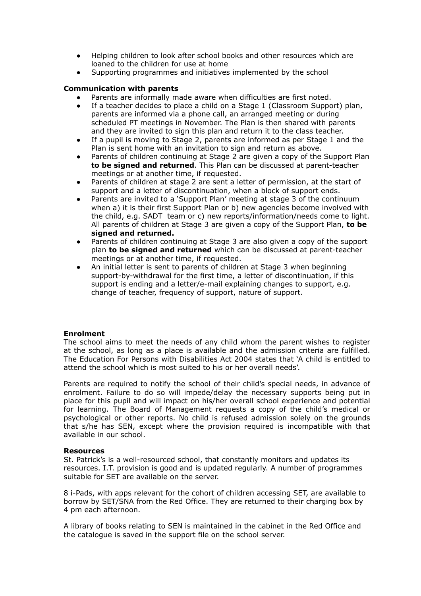- ! Helping children to look after school books and other resources which are loaned to the children for use at home
- Supporting programmes and initiatives implemented by the school

# **Communication with parents**

- Parents are informally made aware when difficulties are first noted.
- ! If a teacher decides to place a child on a Stage 1 (Classroom Support) plan, parents are informed via a phone call, an arranged meeting or during scheduled PT meetings in November. The Plan is then shared with parents and they are invited to sign this plan and return it to the class teacher.
- If a pupil is moving to Stage 2, parents are informed as per Stage 1 and the Plan is sent home with an invitation to sign and return as above.
- Parents of children continuing at Stage 2 are given a copy of the Support Plan **to be signed and returned**. This Plan can be discussed at parent-teacher meetings or at another time, if requested.
- Parents of children at stage 2 are sent a letter of permission, at the start of support and a letter of discontinuation, when a block of support ends.
- Parents are invited to a 'Support Plan' meeting at stage 3 of the continuum when a) it is their first Support Plan or b) new agencies become involved with the child, e.g. SADT team or c) new reports/information/needs come to light. All parents of children at Stage 3 are given a copy of the Support Plan, **to be signed and returned.**
- Parents of children continuing at Stage 3 are also given a copy of the support plan **to be signed and returned** which can be discussed at parent-teacher meetings or at another time, if requested.
- An initial letter is sent to parents of children at Stage 3 when beginning support-by-withdrawal for the first time, a letter of discontinuation, if this support is ending and a letter/e-mail explaining changes to support, e.g. change of teacher, frequency of support, nature of support.

# **Enrolment**

The school aims to meet the needs of any child whom the parent wishes to register at the school, as long as a place is available and the admission criteria are fulfilled. The Education For Persons with Disabilities Act 2004 states that 'A child is entitled to attend the school which is most suited to his or her overall needs'.

Parents are required to notify the school of their child's special needs, in advance of enrolment. Failure to do so will impede/delay the necessary supports being put in place for this pupil and will impact on his/her overall school experience and potential for learning. The Board of Management requests a copy of the child's medical or psychological or other reports. No child is refused admission solely on the grounds that s/he has SEN, except where the provision required is incompatible with that available in our school.

# **Resources**

St. Patrick's is a well-resourced school, that constantly monitors and updates its resources. I.T. provision is good and is updated regularly. A number of programmes suitable for SET are available on the server.

8 i-Pads, with apps relevant for the cohort of children accessing SET, are available to borrow by SET/SNA from the Red Office. They are returned to their charging box by 4 pm each afternoon.

A library of books relating to SEN is maintained in the cabinet in the Red Office and the catalogue is saved in the support file on the school server.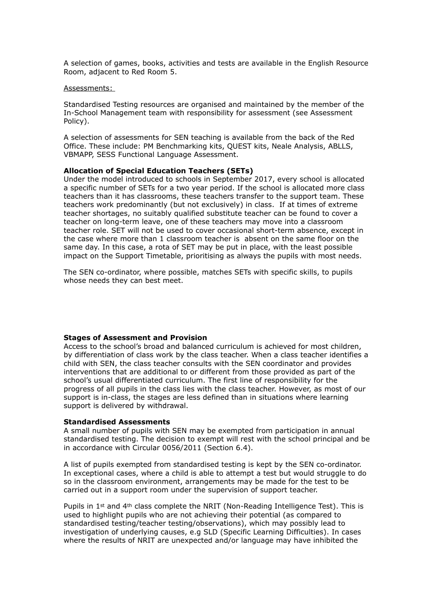A selection of games, books, activities and tests are available in the English Resource Room, adjacent to Red Room 5.

#### Assessments:

Standardised Testing resources are organised and maintained by the member of the In-School Management team with responsibility for assessment (see Assessment Policy).

A selection of assessments for SEN teaching is available from the back of the Red Office. These include: PM Benchmarking kits, QUEST kits, Neale Analysis, ABLLS, VBMAPP, SESS Functional Language Assessment.

#### **Allocation of Special Education Teachers (SETs)**

Under the model introduced to schools in September 2017, every school is allocated a specific number of SETs for a two year period. If the school is allocated more class teachers than it has classrooms, these teachers transfer to the support team. These teachers work predominantly (but not exclusively) in class. If at times of extreme teacher shortages, no suitably qualified substitute teacher can be found to cover a teacher on long-term leave, one of these teachers may move into a classroom teacher role. SET will not be used to cover occasional short-term absence, except in the case where more than 1 classroom teacher is absent on the same floor on the same day. In this case, a rota of SET may be put in place, with the least possible impact on the Support Timetable, prioritising as always the pupils with most needs.

The SEN co-ordinator, where possible, matches SETs with specific skills, to pupils whose needs they can best meet.

#### **Stages of Assessment and Provision**

Access to the school's broad and balanced curriculum is achieved for most children, by differentiation of class work by the class teacher. When a class teacher identifies a child with SEN, the class teacher consults with the SEN coordinator and provides interventions that are additional to or different from those provided as part of the school's usual differentiated curriculum. The first line of responsibility for the progress of all pupils in the class lies with the class teacher. However, as most of our support is in-class, the stages are less defined than in situations where learning support is delivered by withdrawal.

#### **Standardised Assessments**

A small number of pupils with SEN may be exempted from participation in annual standardised testing. The decision to exempt will rest with the school principal and be in accordance with Circular 0056/2011 (Section 6.4).

A list of pupils exempted from standardised testing is kept by the SEN co-ordinator. In exceptional cases, where a child is able to attempt a test but would struggle to do so in the classroom environment, arrangements may be made for the test to be carried out in a support room under the supervision of support teacher.

Pupils in 1st and 4th class complete the NRIT (Non-Reading Intelligence Test). This is used to highlight pupils who are not achieving their potential (as compared to standardised testing/teacher testing/observations), which may possibly lead to investigation of underlying causes, e.g SLD (Specific Learning Difficulties). In cases where the results of NRIT are unexpected and/or language may have inhibited the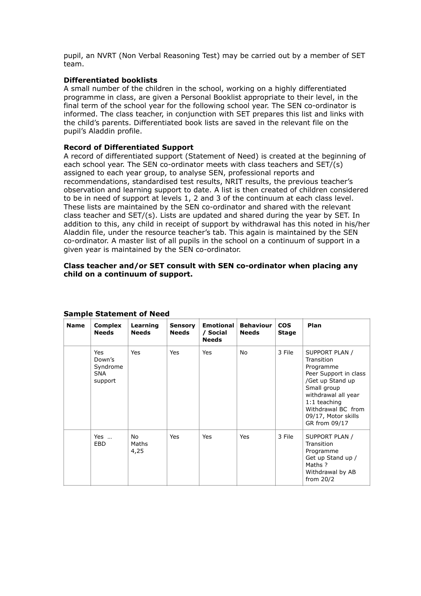pupil, an NVRT (Non Verbal Reasoning Test) may be carried out by a member of SET team.

# **Differentiated booklists**

A small number of the children in the school, working on a highly differentiated programme in class, are given a Personal Booklist appropriate to their level, in the final term of the school year for the following school year. The SEN co-ordinator is informed. The class teacher, in conjunction with SET prepares this list and links with the child's parents. Differentiated book lists are saved in the relevant file on the pupil's Aladdin profile.

# **Record of Differentiated Support**

A record of differentiated support (Statement of Need) is created at the beginning of each school year. The SEN co-ordinator meets with class teachers and SET/(s) assigned to each year group, to analyse SEN, professional reports and recommendations, standardised test results, NRIT results, the previous teacher's observation and learning support to date. A list is then created of children considered to be in need of support at levels 1, 2 and 3 of the continuum at each class level. These lists are maintained by the SEN co-ordinator and shared with the relevant class teacher and SET/(s). Lists are updated and shared during the year by SET. In addition to this, any child in receipt of support by withdrawal has this noted in his/her Aladdin file, under the resource teacher's tab. This again is maintained by the SEN co-ordinator. A master list of all pupils in the school on a continuum of support in a given year is maintained by the SEN co-ordinator.

# **Class teacher and/or SET consult with SEN co-ordinator when placing any child on a continuum of support.**

| <b>Name</b> | <b>Complex</b><br><b>Needs</b>                            | Learning<br><b>Needs</b> | <b>Sensory</b><br>Needs | <b>Emotional</b><br>/ Social<br><b>Needs</b> | <b>Behaviour</b><br><b>Needs</b> | <b>COS</b><br><b>Stage</b> | Plan                                                                                                                                                                                                         |
|-------------|-----------------------------------------------------------|--------------------------|-------------------------|----------------------------------------------|----------------------------------|----------------------------|--------------------------------------------------------------------------------------------------------------------------------------------------------------------------------------------------------------|
|             | <b>Yes</b><br>Down's<br>Syndrome<br><b>SNA</b><br>support | Yes                      | Yes                     | Yes                                          | No                               | 3 File                     | SUPPORT PLAN /<br>Transition<br>Programme<br>Peer Support in class<br>/Get up Stand up<br>Small group<br>withdrawal all year<br>$1:1$ teaching<br>Withdrawal BC from<br>09/17, Motor skills<br>GR from 09/17 |
|             | Yes<br><b>EBD</b>                                         | No<br>Maths<br>4,25      | Yes                     | <b>Yes</b>                                   | Yes                              | 3 File                     | SUPPORT PLAN /<br>Transition<br>Programme<br>Get up Stand up /<br>Maths?<br>Withdrawal by AB<br>from $20/2$                                                                                                  |

# **Sample Statement of Need**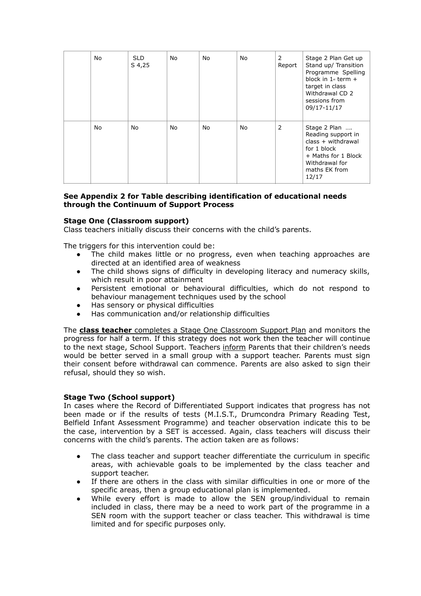| No | SLD.<br>S 4,25 | No. | No | No. | 2<br>Report | Stage 2 Plan Get up<br>Stand up/ Transition<br>Programme Spelling<br>block in $1*$ term $+$<br>target in class<br>Withdrawal CD 2<br>sessions from<br>09/17-11/17 |
|----|----------------|-----|----|-----|-------------|-------------------------------------------------------------------------------------------------------------------------------------------------------------------|
| No | No             | No  | No | No  | 2           | Stage 2 Plan<br>Reading support in<br>$class + with drawn$<br>for 1 block<br>+ Maths for 1 Block<br>Withdrawal for<br>maths EK from<br>12/17                      |

# **See Appendix 2 for Table describing identification of educational needs through the Continuum of Support Process**

# **Stage One (Classroom support)**

Class teachers initially discuss their concerns with the child's parents.

The triggers for this intervention could be:

- The child makes little or no progress, even when teaching approaches are directed at an identified area of weakness
- The child shows signs of difficulty in developing literacy and numeracy skills, which result in poor attainment
- Persistent emotional or behavioural difficulties, which do not respond to behaviour management techniques used by the school
- Has sensory or physical difficulties
- ! Has communication and/or relationship difficulties

The **class teacher** completes a Stage One Classroom Support Plan and monitors the progress for half a term. If this strategy does not work then the teacher will continue to the next stage, School Support. Teachers inform Parents that their children's needs would be better served in a small group with a support teacher. Parents must sign their consent before withdrawal can commence. Parents are also asked to sign their refusal, should they so wish.

# **Stage Two (School support)**

In cases where the Record of Differentiated Support indicates that progress has not been made or if the results of tests (M.I.S.T., Drumcondra Primary Reading Test, Belfield Infant Assessment Programme) and teacher observation indicate this to be the case, intervention by a SET is accessed. Again, class teachers will discuss their concerns with the child's parents. The action taken are as follows:

- The class teacher and support teacher differentiate the curriculum in specific areas, with achievable goals to be implemented by the class teacher and support teacher.
- ! If there are others in the class with similar difficulties in one or more of the specific areas, then a group educational plan is implemented.
- While every effort is made to allow the SEN group/individual to remain included in class, there may be a need to work part of the programme in a SEN room with the support teacher or class teacher. This withdrawal is time limited and for specific purposes only.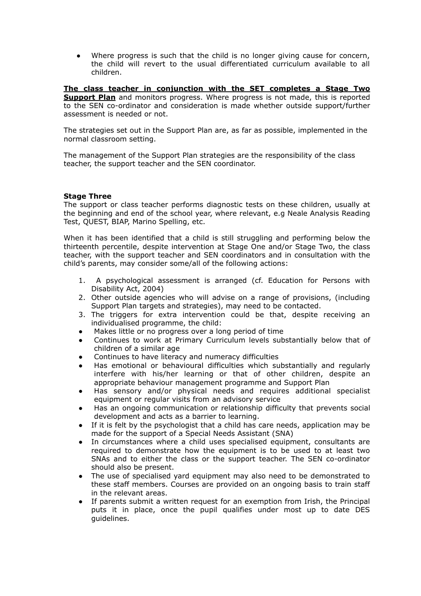Where progress is such that the child is no longer giving cause for concern, the child will revert to the usual differentiated curriculum available to all children.

**The class teacher in conjunction with the SET completes a Stage Two Support Plan** and monitors progress. Where progress is not made, this is reported to the SEN co-ordinator and consideration is made whether outside support/further assessment is needed or not.

The strategies set out in the Support Plan are, as far as possible, implemented in the normal classroom setting.

The management of the Support Plan strategies are the responsibility of the class teacher, the support teacher and the SEN coordinator.

# **Stage Three**

The support or class teacher performs diagnostic tests on these children, usually at the beginning and end of the school year, where relevant, e.g Neale Analysis Reading Test, QUEST, BIAP, Marino Spelling, etc.

When it has been identified that a child is still struggling and performing below the thirteenth percentile, despite intervention at Stage One and/or Stage Two, the class teacher, with the support teacher and SEN coordinators and in consultation with the child's parents, may consider some/all of the following actions:

- 1. A psychological assessment is arranged (cf. Education for Persons with Disability Act, 2004)
- 2. Other outside agencies who will advise on a range of provisions, (including Support Plan targets and strategies), may need to be contacted.
- 3. The triggers for extra intervention could be that, despite receiving an individualised programme, the child:
- ! Makes little or no progress over a long period of time
- Continues to work at Primary Curriculum levels substantially below that of children of a similar age
- Continues to have literacy and numeracy difficulties
- Has emotional or behavioural difficulties which substantially and regularly interfere with his/her learning or that of other children, despite an appropriate behaviour management programme and Support Plan
- ! Has sensory and/or physical needs and requires additional specialist equipment or regular visits from an advisory service
- ! Has an ongoing communication or relationship difficulty that prevents social development and acts as a barrier to learning.
- ! If it is felt by the psychologist that a child has care needs, application may be made for the support of a Special Needs Assistant (SNA)
- In circumstances where a child uses specialised equipment, consultants are required to demonstrate how the equipment is to be used to at least two SNAs and to either the class or the support teacher. The SEN co-ordinator should also be present.
- ! The use of specialised yard equipment may also need to be demonstrated to these staff members. Courses are provided on an ongoing basis to train staff in the relevant areas.
- ! If parents submit a written request for an exemption from Irish, the Principal puts it in place, once the pupil qualifies under most up to date DES guidelines.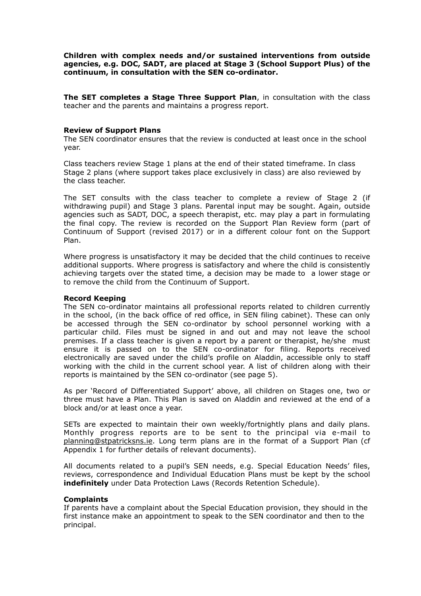**Children with complex needs and/or sustained interventions from outside agencies, e.g. DOC, SADT, are placed at Stage 3 (School Support Plus) of the continuum, in consultation with the SEN co-ordinator.**

**The SET completes a Stage Three Support Plan**, in consultation with the class teacher and the parents and maintains a progress report.

#### **Review of Support Plans**

The SEN coordinator ensures that the review is conducted at least once in the school year.

Class teachers review Stage 1 plans at the end of their stated timeframe. In class Stage 2 plans (where support takes place exclusively in class) are also reviewed by the class teacher.

The SET consults with the class teacher to complete a review of Stage 2 (if withdrawing pupil) and Stage 3 plans. Parental input may be sought. Again, outside agencies such as SADT, DOC, a speech therapist, etc. may play a part in formulating the final copy. The review is recorded on the Support Plan Review form (part of Continuum of Support (revised 2017) or in a different colour font on the Support Plan.

Where progress is unsatisfactory it may be decided that the child continues to receive additional supports. Where progress is satisfactory and where the child is consistently achieving targets over the stated time, a decision may be made to a lower stage or to remove the child from the Continuum of Support.

#### **Record Keeping**

The SEN co-ordinator maintains all professional reports related to children currently in the school, (in the back office of red office, in SEN filing cabinet). These can only be accessed through the SEN co-ordinator by school personnel working with a particular child. Files must be signed in and out and may not leave the school premises. If a class teacher is given a report by a parent or therapist, he/she must ensure it is passed on to the SEN co-ordinator for filing. Reports received electronically are saved under the child's profile on Aladdin, accessible only to staff working with the child in the current school year. A list of children along with their reports is maintained by the SEN co-ordinator (see page 5).

As per 'Record of Differentiated Support' above, all children on Stages one, two or three must have a Plan. This Plan is saved on Aladdin and reviewed at the end of a block and/or at least once a year.

SETs are expected to maintain their own weekly/fortnightly plans and daily plans. Monthly progress reports are to be sent to the principal via e-mail to [planning@stpatricksns.ie](mailto:planning@stpatricksns.ie). Long term plans are in the format of a Support Plan (cf Appendix 1 for further details of relevant documents).

All documents related to a pupil's SEN needs, e.g. Special Education Needs' files, reviews, correspondence and Individual Education Plans must be kept by the school **indefinitely** under Data Protection Laws (Records Retention Schedule).

#### **Complaints**

If parents have a complaint about the Special Education provision, they should in the first instance make an appointment to speak to the SEN coordinator and then to the principal.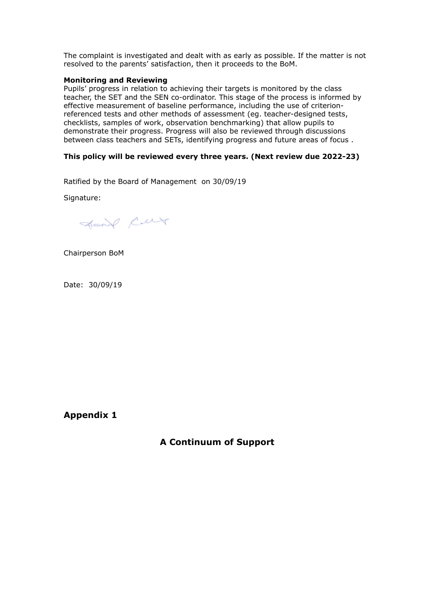The complaint is investigated and dealt with as early as possible. If the matter is not resolved to the parents' satisfaction, then it proceeds to the BoM.

#### **Monitoring and Reviewing**

Pupils' progress in relation to achieving their targets is monitored by the class teacher, the SET and the SEN co-ordinator. This stage of the process is informed by effective measurement of baseline performance, including the use of criterionreferenced tests and other methods of assessment (eg. teacher-designed tests, checklists, samples of work, observation benchmarking) that allow pupils to demonstrate their progress. Progress will also be reviewed through discussions between class teachers and SETs, identifying progress and future areas of focus .

# **This policy will be reviewed every three years. (Next review due 2022-23)**

Ratified by the Board of Management on 30/09/19

Signature:

Sound Cur

Chairperson BoM

Date: 30/09/19

**Appendix 1**

**A Continuum of Support**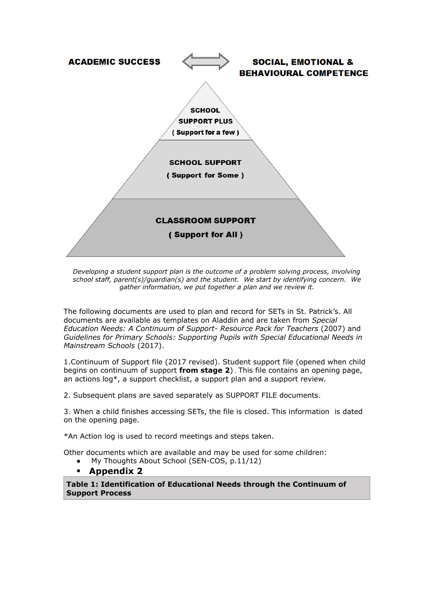

*Developing a student support plan is the outcome of a problem solving process, involving school staff, parent(s)/guardian(s) and the student. We start by identifying concern. We gather information, we put together a plan and we review it.* 

The following documents are used to plan and record for SETs in St. Patrick's. All documents are available as templates on Aladdin and are taken from *Special Education Needs: A Continuum of Support- Resource Pack for Teachers* (2007) and *Guidelines for Primary Schools: Supporting Pupils with Special Educational Needs in Mainstream Schools* (2017).

1.Continuum of Support file (2017 revised). Student support file (opened when child begins on continuum of support **from stage 2**) . This file contains an opening page, an actions log\*, a support checklist, a support plan and a support review.

2. Subsequent plans are saved separately as SUPPORT FILE documents.

3. When a child finishes accessing SETs, the file is closed. This information is dated on the opening page.

\*An Action log is used to record meetings and steps taken.

Other documents which are available and may be used for some children:

! My Thoughts About School (SEN-COS, p.11/12)

# ! **Appendix 2**

**Table 1: Identification of Educational Needs through the Continuum of Support Process**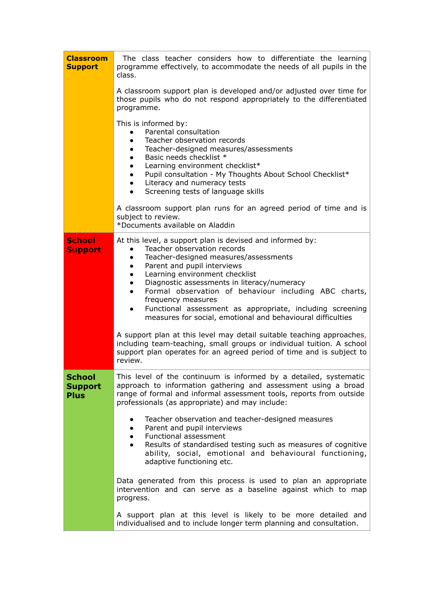| <b>Classroom</b><br><b>Support</b>             | The class teacher considers how to differentiate the learning<br>programme effectively, to accommodate the needs of all pupils in the<br>class.                                                                                                                                                                                                                                                                                                                                                                                            |  |  |  |  |  |
|------------------------------------------------|--------------------------------------------------------------------------------------------------------------------------------------------------------------------------------------------------------------------------------------------------------------------------------------------------------------------------------------------------------------------------------------------------------------------------------------------------------------------------------------------------------------------------------------------|--|--|--|--|--|
|                                                | A classroom support plan is developed and/or adjusted over time for<br>those pupils who do not respond appropriately to the differentiated<br>programme.                                                                                                                                                                                                                                                                                                                                                                                   |  |  |  |  |  |
|                                                | This is informed by:<br>Parental consultation<br>Teacher observation records<br>Teacher-designed measures/assessments<br>Basic needs checklist *<br>Learning environment checklist*<br>Pupil consultation - My Thoughts About School Checklist*<br>Literacy and numeracy tests<br>Screening tests of language skills<br>$\bullet$<br>A classroom support plan runs for an agreed period of time and is                                                                                                                                     |  |  |  |  |  |
|                                                | subject to review.<br>*Documents available on Aladdin                                                                                                                                                                                                                                                                                                                                                                                                                                                                                      |  |  |  |  |  |
| <b>School</b><br><b>Support</b>                | At this level, a support plan is devised and informed by:<br>Teacher observation records<br>Teacher-designed measures/assessments<br>$\bullet$<br>Parent and pupil interviews<br>$\bullet$<br>Learning environment checklist<br>$\bullet$<br>Diagnostic assessments in literacy/numeracy<br>$\bullet$<br>Formal observation of behaviour including ABC charts,<br>$\bullet$<br>frequency measures<br>Functional assessment as appropriate, including screening<br>$\bullet$<br>measures for social, emotional and behavioural difficulties |  |  |  |  |  |
|                                                | A support plan at this level may detail suitable teaching approaches,<br>including team-teaching, small groups or individual tuition. A school<br>support plan operates for an agreed period of time and is subject to<br>review.                                                                                                                                                                                                                                                                                                          |  |  |  |  |  |
| <b>School</b><br><b>Support</b><br><b>Plus</b> | This level of the continuum is informed by a detailed, systematic<br>approach to information gathering and assessment using a broad<br>range of formal and informal assessment tools, reports from outside<br>professionals (as appropriate) and may include:                                                                                                                                                                                                                                                                              |  |  |  |  |  |
|                                                | Teacher observation and teacher-designed measures<br>$\bullet$<br>Parent and pupil interviews<br>$\bullet$<br>Functional assessment<br>$\bullet$<br>Results of standardised testing such as measures of cognitive<br>$\bullet$<br>ability, social, emotional and behavioural functioning,<br>adaptive functioning etc.                                                                                                                                                                                                                     |  |  |  |  |  |
|                                                | Data generated from this process is used to plan an appropriate<br>intervention and can serve as a baseline against which to map<br>progress.                                                                                                                                                                                                                                                                                                                                                                                              |  |  |  |  |  |
|                                                | A support plan at this level is likely to be more detailed and<br>individualised and to include longer term planning and consultation.                                                                                                                                                                                                                                                                                                                                                                                                     |  |  |  |  |  |